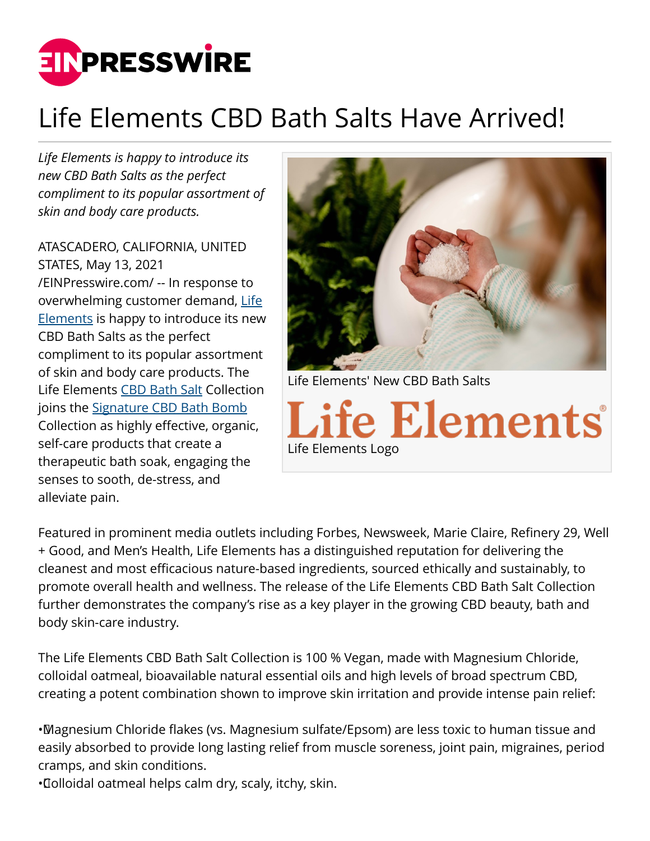

## Life Elements CBD Bath Salts Have Arrived!

*Life Elements is happy to introduce its new CBD Bath Salts as the perfect compliment to its popular assortment of skin and body care products.*

ATASCADERO, CALIFORNIA, UNITED STATES, May 13, 2021 [/EINPresswire.com/](http://www.einpresswire.com) -- In response to overwhelming customer demand, [Life](http://lifeelements.com) [Elements](http://lifeelements.com) is happy to introduce its new CBD Bath Salts as the perfect compliment to its popular assortment of skin and body care products. The Life Elements [CBD Bath Salt](http://lifeelements.com/collections/cbd-bath-salts) Collection joins the [Signature CBD Bath Bomb](http://lifeelements.com/products/cbd-bath-bombs) Collection as highly effective, organic, self-care products that create a therapeutic bath soak, engaging the senses to sooth, de-stress, and alleviate pain.



Featured in prominent media outlets including Forbes, Newsweek, Marie Claire, Refinery 29, Well + Good, and Men's Health, Life Elements has a distinguished reputation for delivering the cleanest and most efficacious nature-based ingredients, sourced ethically and sustainably, to promote overall health and wellness. The release of the Life Elements CBD Bath Salt Collection further demonstrates the company's rise as a key player in the growing CBD beauty, bath and body skin-care industry.

Life Elements Logo

The Life Elements CBD Bath Salt Collection is 100 % Vegan, made with Magnesium Chloride, colloidal oatmeal, bioavailable natural essential oils and high levels of broad spectrum CBD, creating a potent combination shown to improve skin irritation and provide intense pain relief:

• Magnesium Chloride flakes (vs. Magnesium sulfate/Epsom) are less toxic to human tissue and easily absorbed to provide long lasting relief from muscle soreness, joint pain, migraines, period cramps, and skin conditions.

• Colloidal oatmeal helps calm dry, scaly, itchy, skin.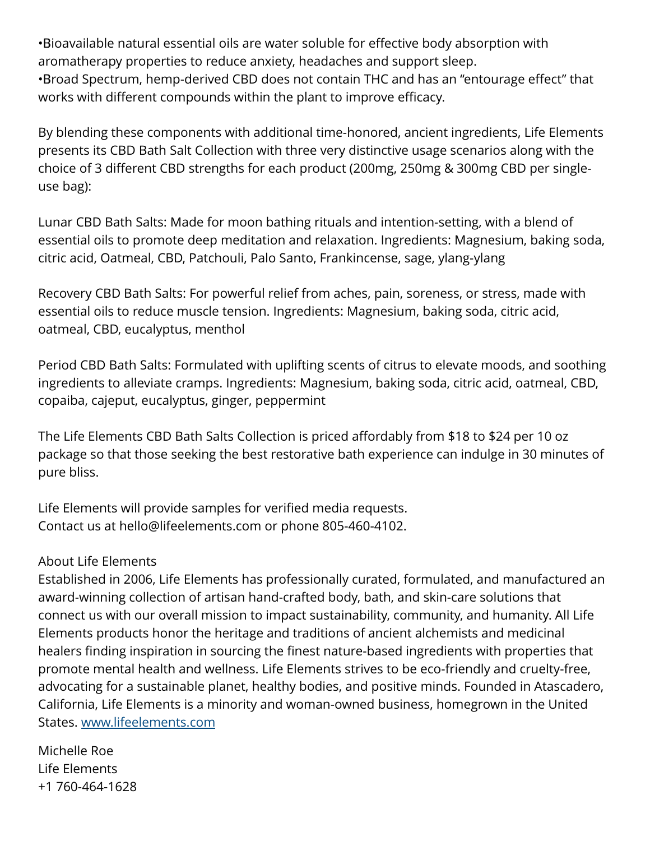• Bioavailable natural essential oils are water soluble for effective body absorption with aromatherapy properties to reduce anxiety, headaches and support sleep. • Broad Spectrum, hemp-derived CBD does not contain THC and has an "entourage effect" that works with different compounds within the plant to improve efficacy.

By blending these components with additional time-honored, ancient ingredients, Life Elements presents its CBD Bath Salt Collection with three very distinctive usage scenarios along with the choice of 3 different CBD strengths for each product (200mg, 250mg & 300mg CBD per singleuse bag):

Lunar CBD Bath Salts: Made for moon bathing rituals and intention-setting, with a blend of essential oils to promote deep meditation and relaxation. Ingredients: Magnesium, baking soda, citric acid, Oatmeal, CBD, Patchouli, Palo Santo, Frankincense, sage, ylang-ylang

Recovery CBD Bath Salts: For powerful relief from aches, pain, soreness, or stress, made with essential oils to reduce muscle tension. Ingredients: Magnesium, baking soda, citric acid, oatmeal, CBD, eucalyptus, menthol

Period CBD Bath Salts: Formulated with uplifting scents of citrus to elevate moods, and soothing ingredients to alleviate cramps. Ingredients: Magnesium, baking soda, citric acid, oatmeal, CBD, copaiba, cajeput, eucalyptus, ginger, peppermint

The Life Elements CBD Bath Salts Collection is priced affordably from \$18 to \$24 per 10 oz package so that those seeking the best restorative bath experience can indulge in 30 minutes of pure bliss.

Life Elements will provide samples for verified media requests. Contact us at hello@lifeelements.com or phone 805-460-4102.

## About Life Elements

Established in 2006, Life Elements has professionally curated, formulated, and manufactured an award-winning collection of artisan hand-crafted body, bath, and skin-care solutions that connect us with our overall mission to impact sustainability, community, and humanity. All Life Elements products honor the heritage and traditions of ancient alchemists and medicinal healers finding inspiration in sourcing the finest nature-based ingredients with properties that promote mental health and wellness. Life Elements strives to be eco-friendly and cruelty-free, advocating for a sustainable planet, healthy bodies, and positive minds. Founded in Atascadero, California, Life Elements is a minority and woman-owned business, homegrown in the United States. [www.lifeelements.com](http://www.lifeelements.com)

Michelle Roe Life Elements +1 760-464-1628